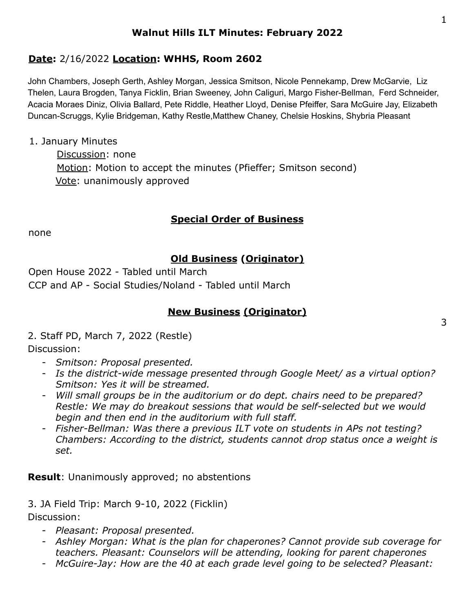## **Walnut Hills ILT Minutes: February 2022**

## **Date:** 2/16/2022 **Location: WHHS, Room 2602**

John Chambers, Joseph Gerth, Ashley Morgan, Jessica Smitson, Nicole Pennekamp, Drew McGarvie, Liz Thelen, Laura Brogden, Tanya Ficklin, Brian Sweeney, John Caliguri, Margo Fisher-Bellman, Ferd Schneider, Acacia Moraes Diniz, Olivia Ballard, Pete Riddle, Heather Lloyd, Denise Pfeiffer, Sara McGuire Jay, Elizabeth Duncan-Scruggs, Kylie Bridgeman, Kathy Restle,Matthew Chaney, Chelsie Hoskins, Shybria Pleasant

#### 1. January Minutes

Discussion: none Motion: Motion to accept the minutes (Pfieffer; Smitson second) Vote: unanimously approved

### **Special Order of Business**

none

## **Old Business (Originator)**

Open House 2022 - Tabled until March CCP and AP - Social Studies/Noland - Tabled until March

### **New Business (Originator)**

2. Staff PD, March 7, 2022 (Restle)

### Discussion:

- *- Smitson: Proposal presented.*
- *- Is the district-wide message presented through Google Meet/ as a virtual option? Smitson: Yes it will be streamed.*
- *- Will small groups be in the auditorium or do dept. chairs need to be prepared? Restle: We may do breakout sessions that would be self-selected but we would begin and then end in the auditorium with full staff.*
- *- Fisher-Bellman: Was there a previous ILT vote on students in APs not testing? Chambers: According to the district, students cannot drop status once a weight is set.*

**Result**: Unanimously approved; no abstentions

3. JA Field Trip: March 9-10, 2022 (Ficklin) Discussion:

- *- Pleasant: Proposal presented.*
- *- Ashley Morgan: What is the plan for chaperones? Cannot provide sub coverage for teachers. Pleasant: Counselors will be attending, looking for parent chaperones*
- *- McGuire-Jay: How are the 40 at each grade level going to be selected? Pleasant:*

3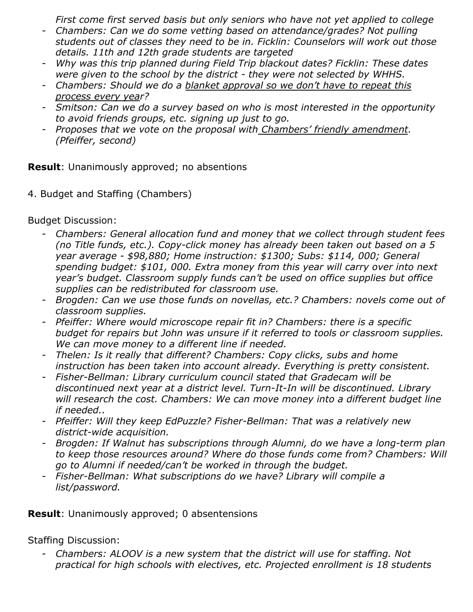*First come first served basis but only seniors who have not yet applied to college*

- *- Chambers: Can we do some vetting based on attendance/grades? Not pulling students out of classes they need to be in. Ficklin: Counselors will work out those details. 11th and 12th grade students are targeted*
- *- Why was this trip planned during Field Trip blackout dates? Ficklin: These dates were given to the school by the district - they were not selected by WHHS.*
- *- Chambers: Should we do a blanket approval so we don't have to repeat this process every year?*
- *- Smitson: Can we do a survey based on who is most interested in the opportunity to avoid friends groups, etc. signing up just to go.*
- *- Proposes that we vote on the proposal with Chambers' friendly amendment. (Pfeiffer, second)*

**Result**: Unanimously approved; no absentions

4. Budget and Staffing (Chambers)

Budget Discussion:

- *- Chambers: General allocation fund and money that we collect through student fees (no Title funds, etc.). Copy-click money has already been taken out based on a 5 year average - \$98,880; Home instruction: \$1300; Subs: \$114, 000; General spending budget: \$101, 000. Extra money from this year will carry over into next year's budget. Classroom supply funds can't be used on office supplies but office supplies can be redistributed for classroom use.*
- *- Brogden: Can we use those funds on novellas, etc.? Chambers: novels come out of classroom supplies.*
- *- Pfeiffer: Where would microscope repair fit in? Chambers: there is a specific budget for repairs but John was unsure if it referred to tools or classroom supplies. We can move money to a different line if needed.*
- *- Thelen: Is it really that different? Chambers: Copy clicks, subs and home instruction has been taken into account already. Everything is pretty consistent.*
- *- Fisher-Bellman: Library curriculum council stated that Gradecam will be discontinued next year at a district level. Turn-It-In will be discontinued. Library will research the cost. Chambers: We can move money into a different budget line if needed..*
- *- Pfeiffer: Will they keep EdPuzzle? Fisher-Bellman: That was a relatively new district-wide acquisition.*
- *- Brogden: If Walnut has subscriptions through Alumni, do we have a long-term plan to keep those resources around? Where do those funds come from? Chambers: Will go to Alumni if needed/can't be worked in through the budget.*
- *- Fisher-Bellman: What subscriptions do we have? Library will compile a list/password.*

**Result**: Unanimously approved; 0 absentensions

Staffing Discussion:

*- Chambers: ALOOV is a new system that the district will use for staffing. Not practical for high schools with electives, etc. Projected enrollment is 18 students*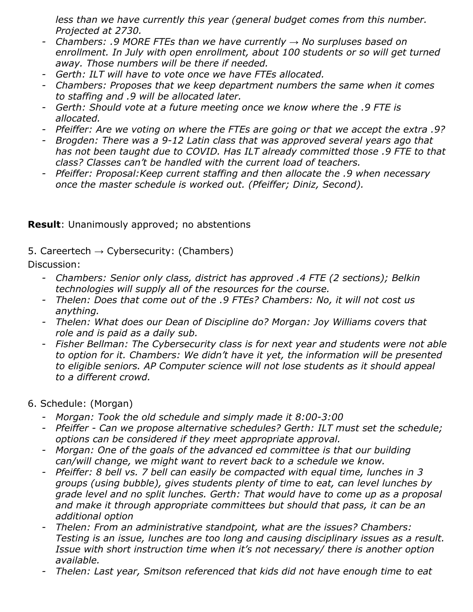*less than we have currently this year (general budget comes from this number. Projected at 2730.*

- *- Chambers: .9 MORE FTEs than we have currently → No surpluses based on enrollment. In July with open enrollment, about 100 students or so will get turned away. Those numbers will be there if needed.*
- *- Gerth: ILT will have to vote once we have FTEs allocated.*
- *- Chambers: Proposes that we keep department numbers the same when it comes to staffing and .9 will be allocated later.*
- *- Gerth: Should vote at a future meeting once we know where the .9 FTE is allocated.*
- *- Pfeiffer: Are we voting on where the FTEs are going or that we accept the extra .9?*
- *- Brogden: There was a 9-12 Latin class that was approved several years ago that has not been taught due to COVID. Has ILT already committed those .9 FTE to that class? Classes can't be handled with the current load of teachers.*
- *- Pfeiffer: Proposal:Keep current staffing and then allocate the .9 when necessary once the master schedule is worked out. (Pfeiffer; Diniz, Second).*

# **Result**: Unanimously approved; no abstentions

5. Careertech  $\rightarrow$  Cybersecurity: (Chambers)

Discussion:

- *- Chambers: Senior only class, district has approved .4 FTE (2 sections); Belkin technologies will supply all of the resources for the course.*
- *- Thelen: Does that come out of the .9 FTEs? Chambers: No, it will not cost us anything.*
- *- Thelen: What does our Dean of Discipline do? Morgan: Joy Williams covers that role and is paid as a daily sub.*
- *Fisher Bellman: The Cybersecurity class is for next year and students were not able to option for it. Chambers: We didn't have it yet, the information will be presented to eligible seniors. AP Computer science will not lose students as it should appeal to a different crowd.*

### 6. Schedule: (Morgan)

- *- Morgan: Took the old schedule and simply made it 8:00-3:00*
- *- Pfeiffer Can we propose alternative schedules? Gerth: ILT must set the schedule; options can be considered if they meet appropriate approval.*
- *- Morgan: One of the goals of the advanced ed committee is that our building can/will change, we might want to revert back to a schedule we know.*
- *- Pfeiffer: 8 bell vs. 7 bell can easily be compacted with equal time, lunches in 3 groups (using bubble), gives students plenty of time to eat, can level lunches by grade level and no split lunches. Gerth: That would have to come up as a proposal and make it through appropriate committees but should that pass, it can be an additional option*
- *- Thelen: From an administrative standpoint, what are the issues? Chambers: Testing is an issue, lunches are too long and causing disciplinary issues as a result. Issue with short instruction time when it's not necessary/ there is another option available.*
- *- Thelen: Last year, Smitson referenced that kids did not have enough time to eat*